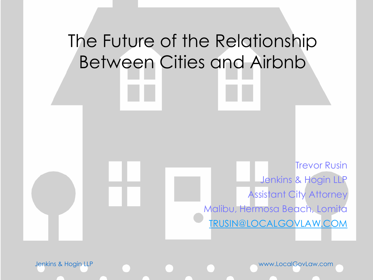#### The Future of the Relationship Between Cities and Airbnb

Trevor Rusin Jenkins & Hogin LLP Assistant City Attorney Malibu, Hermosa Beach, Lomita [TRUSIN@LOCALGOVLAW.COM](mailto:TRUSIN@LOCALGOVLAW.COM)

Jenkins & Hogin LLP www.LocalGovLaw.com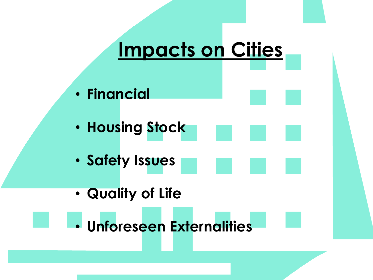#### **Impacts on Cities**

- **Financial**
- **Housing Stock**
- **Safety Issues**
- **Quality of Life**
- **Unforeseen Externalities**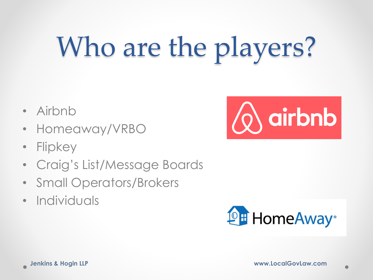# Who are the players?

- Airbnb
- Homeaway/VRBO
- Flipkey
- Craig's List/Message Boards
- Small Operators/Brokers
- Individuals



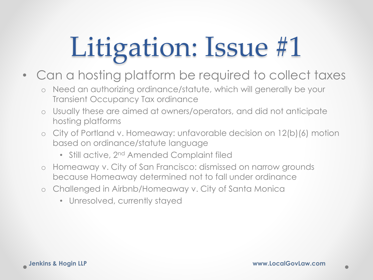- Can a hosting platform be required to collect taxes
	- o Need an authorizing ordinance/statute, which will generally be your Transient Occupancy Tax ordinance
	- o Usually these are aimed at owners/operators, and did not anticipate hosting platforms
	- o City of Portland v. Homeaway: unfavorable decision on 12(b)(6) motion based on ordinance/statute language
		- Still active, 2<sup>nd</sup> Amended Complaint filed
	- o Homeaway v. City of San Francisco: dismissed on narrow grounds because Homeaway determined not to fall under ordinance
	- o Challenged in Airbnb/Homeaway v. City of Santa Monica
		- Unresolved, currently stayed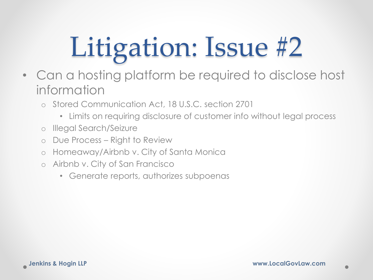- Can a hosting platform be required to disclose host information
	- o Stored Communication Act, 18 U.S.C. section 2701
		- Limits on requiring disclosure of customer info without legal process
	- o Illegal Search/Seizure
	- o Due Process Right to Review
	- o Homeaway/Airbnb v. City of Santa Monica
	- o Airbnb v. City of San Francisco
		- Generate reports, authorizes subpoenas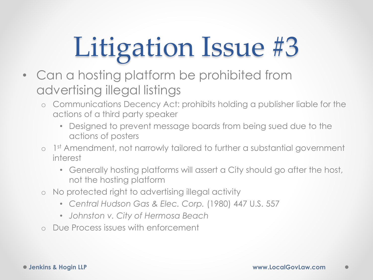- Can a hosting platform be prohibited from advertising illegal listings
	- o Communications Decency Act: prohibits holding a publisher liable for the actions of a third party speaker
		- Designed to prevent message boards from being sued due to the actions of posters
	- o 1<sup>st</sup> Amendment, not narrowly tailored to further a substantial government interest
		- Generally hosting platforms will assert a City should go after the host, not the hosting platform
	- o No protected right to advertising illegal activity
		- *Central Hudson Gas & Elec. Corp.* (1980) 447 U.S. 557
		- *Johnston v. City of Hermosa Beach*
	- o Due Process issues with enforcement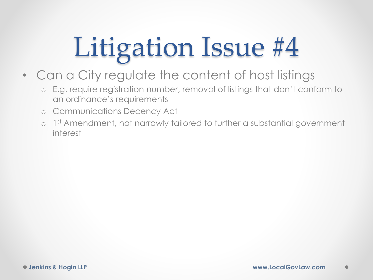- Can a City regulate the content of host listings
	- o E.g. require registration number, removal of listings that don't conform to an ordinance's requirements
	- o Communications Decency Act
	- o 1 st Amendment, not narrowly tailored to further a substantial government interest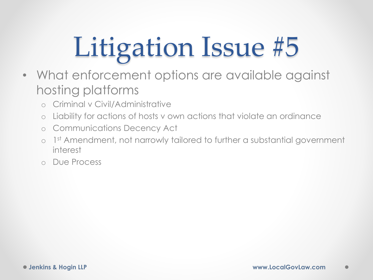- What enforcement options are available against hosting platforms
	- o Criminal v Civil/Administrative
	- o Liability for actions of hosts v own actions that violate an ordinance
	- o Communications Decency Act
	- o 1 st Amendment, not narrowly tailored to further a substantial government interest
	- o Due Process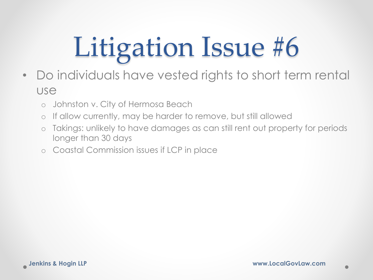- Do individuals have vested rights to short term rental use
	- o Johnston v. City of Hermosa Beach
	- o If allow currently, may be harder to remove, but still allowed
	- o Takings: unlikely to have damages as can still rent out property for periods longer than 30 days
	- o Coastal Commission issues if LCP in place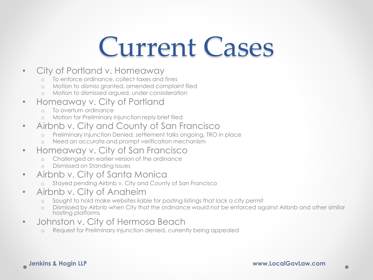#### Current Cases

- City of Portland v. Homeaway
	- To enforce ordinance, collect taxes and fines
	- Motion to dismiss granted, amended complaint filed
	- o Motion to dismissed argued, under consideration
- Homeaway v. City of Portland
	- o To overturn ordinance
	- Motion for Preliminary Injunction reply brief filed
- Airbnb v. City and County of San Francisco
	- o Preliminary Injunction Denied, settlement talks ongoing, TRO in place
	- Need an accurate and prompt verification mechanism
- Homeaway v. City of San Francisco
	- o Challenged an earlier version of the ordinance
	- o Dismissed on Standing Issues
- Airbnb v. City of Santa Monica
	- o Stayed pending Airbnb v. City and County of San Francisco
- Airbnb v. City of Anaheim
	- o Sought to hold make websites liable for posting listings that lack a city permit
	- o Dismissed by Airbnb when City that the ordinance would not be enforced against Airbnb and other similar hosting platforms
- Johnston v. City of Hermosa Beach
	- o Request for Preliminary injunction denied, currently being appealed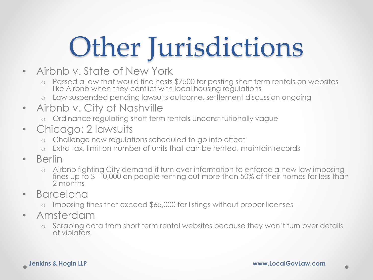#### Other Jurisdictions

- Airbnb v. State of New York
	- o Passed a law that would fine hosts \$7500 for posting short term rentals on websites like Airbnb when they conflict with local housing regulations
	- o Law suspended pending lawsuits outcome, settlement discussion ongoing
- Airbnb v. City of Nashville
	- o Ordinance regulating short term rentals unconstitutionally vague
- Chicago: 2 lawsuits
	- Challenge new regulations scheduled to go into effect
	- o Extra tax, limit on number of units that can be rented, maintain records
- Berlin
	- o Airbnb fighting City demand it turn over information to enforce a new law imposing fines up to \$110,000 on people renting out more than 50% of their homes for less than 2 months
- Barcelona
	- o Imposing fines that exceed \$65,000 for listings without proper licenses
- Amsterdam
	- o Scraping data from short term rental websites because they won't turn over details of violators